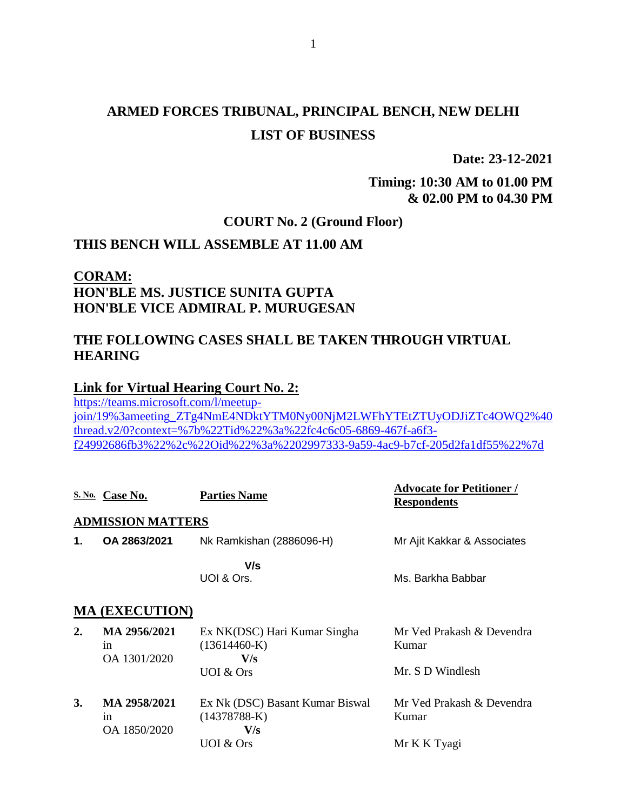# **ARMED FORCES TRIBUNAL, PRINCIPAL BENCH, NEW DELHI LIST OF BUSINESS**

**Date: 23-12-2021**

### **Timing: 10:30 AM to 01.00 PM & 02.00 PM to 04.30 PM**

## **COURT No. 2 (Ground Floor)**

### **THIS BENCH WILL ASSEMBLE AT 11.00 AM**

### **CORAM: HON'BLE MS. JUSTICE SUNITA GUPTA HON'BLE VICE ADMIRAL P. MURUGESAN**

### **THE FOLLOWING CASES SHALL BE TAKEN THROUGH VIRTUAL HEARING**

#### **Link for Virtual Hearing Court No. 2:**

[https://teams.microsoft.com/l/meetup](https://teams.microsoft.com/l/meetup-join/19%3ameeting_ZTg4NmE4NDktYTM0Ny00NjM2LWFhYTEtZTUyODJiZTc4OWQ2%40thread.v2/0?context=%7b%22Tid%22%3a%22fc4c6c05-6869-467f-a6f3-f24992686fb3%22%2c%22Oid%22%3a%2202997333-9a59-4ac9-b7cf-205d2fa1df55%22%7d)[join/19%3ameeting\\_ZTg4NmE4NDktYTM0Ny00NjM2LWFhYTEtZTUyODJiZTc4OWQ2%40](https://teams.microsoft.com/l/meetup-join/19%3ameeting_ZTg4NmE4NDktYTM0Ny00NjM2LWFhYTEtZTUyODJiZTc4OWQ2%40thread.v2/0?context=%7b%22Tid%22%3a%22fc4c6c05-6869-467f-a6f3-f24992686fb3%22%2c%22Oid%22%3a%2202997333-9a59-4ac9-b7cf-205d2fa1df55%22%7d) [thread.v2/0?context=%7b%22Tid%22%3a%22fc4c6c05-6869-467f-a6f3](https://teams.microsoft.com/l/meetup-join/19%3ameeting_ZTg4NmE4NDktYTM0Ny00NjM2LWFhYTEtZTUyODJiZTc4OWQ2%40thread.v2/0?context=%7b%22Tid%22%3a%22fc4c6c05-6869-467f-a6f3-f24992686fb3%22%2c%22Oid%22%3a%2202997333-9a59-4ac9-b7cf-205d2fa1df55%22%7d) [f24992686fb3%22%2c%22Oid%22%3a%2202997333-9a59-4ac9-b7cf-205d2fa1df55%22%7d](https://teams.microsoft.com/l/meetup-join/19%3ameeting_ZTg4NmE4NDktYTM0Ny00NjM2LWFhYTEtZTUyODJiZTc4OWQ2%40thread.v2/0?context=%7b%22Tid%22%3a%22fc4c6c05-6869-467f-a6f3-f24992686fb3%22%2c%22Oid%22%3a%2202997333-9a59-4ac9-b7cf-205d2fa1df55%22%7d)

|                       | S. No. Case No.                    | <b>Parties Name</b>                                      | <b>Advocate for Petitioner /</b><br><b>Respondents</b> |  |
|-----------------------|------------------------------------|----------------------------------------------------------|--------------------------------------------------------|--|
|                       | <b>ADMISSION MATTERS</b>           |                                                          |                                                        |  |
| 1.                    | OA 2863/2021                       | Nk Ramkishan (2886096-H)                                 | Mr Ajit Kakkar & Associates                            |  |
|                       |                                    | V/s<br>UOI & Ors.                                        | Ms. Barkha Babbar                                      |  |
| <b>MA (EXECUTION)</b> |                                    |                                                          |                                                        |  |
| $\overline{2}$ .      | MA 2956/2021<br>1n<br>OA 1301/2020 | Ex NK(DSC) Hari Kumar Singha<br>$(13614460-K)$<br>V/s    | Mr Ved Prakash & Devendra<br>Kumar                     |  |
|                       |                                    | UOI & Ors                                                | Mr. S D Windlesh                                       |  |
| 3.                    | MA 2958/2021<br>1n<br>OA 1850/2020 | Ex Nk (DSC) Basant Kumar Biswal<br>$(14378788-K)$<br>V/s | Mr Ved Prakash & Devendra<br>Kumar                     |  |
|                       |                                    | UOI & Ors                                                | Mr K K Tyagi                                           |  |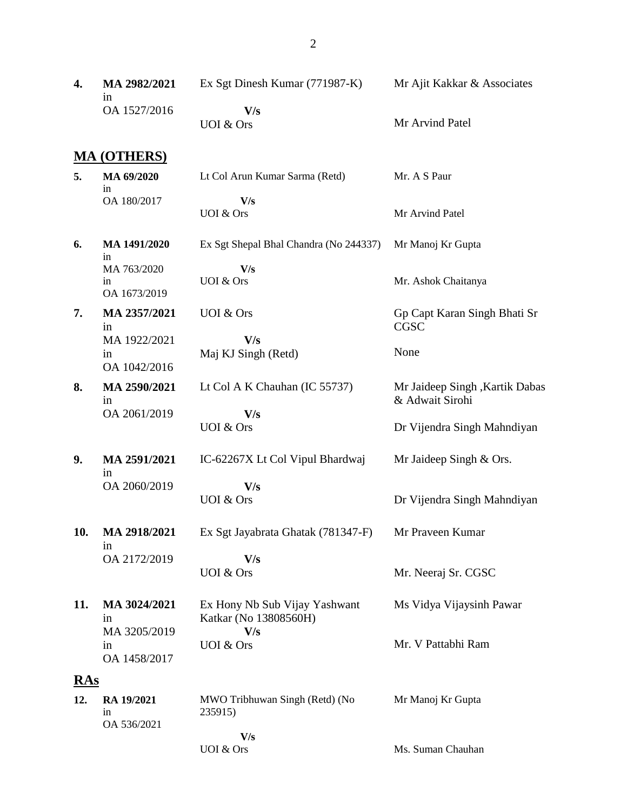| 4.         | MA 2982/2021<br>in | Ex Sgt Dinesh Kumar (771987-K)         | Mr Ajit Kakkar & Associates                       |
|------------|--------------------|----------------------------------------|---------------------------------------------------|
|            | OA 1527/2016       | V/s<br><b>UOI</b> & Ors                | Mr Arvind Patel                                   |
|            | <b>MA (OTHERS)</b> |                                        |                                                   |
| 5.         | MA 69/2020         | Lt Col Arun Kumar Sarma (Retd)         | Mr. A S Paur                                      |
|            | in<br>OA 180/2017  | V/s                                    |                                                   |
|            |                    | UOI & Ors                              | Mr Arvind Patel                                   |
| 6.         | MA 1491/2020<br>in | Ex Sgt Shepal Bhal Chandra (No 244337) | Mr Manoj Kr Gupta                                 |
|            | MA 763/2020        | V/s                                    |                                                   |
|            | in<br>OA 1673/2019 | <b>UOI &amp; Ors</b>                   | Mr. Ashok Chaitanya                               |
| 7.         | MA 2357/2021<br>in | <b>UOI</b> & Ors                       | Gp Capt Karan Singh Bhati Sr<br><b>CGSC</b>       |
|            | MA 1922/2021       | V/s                                    |                                                   |
|            | in<br>OA 1042/2016 | Maj KJ Singh (Retd)                    | None                                              |
|            |                    |                                        |                                                   |
| 8.         | MA 2590/2021<br>in | Lt Col A K Chauhan (IC 55737)          | Mr Jaideep Singh, Kartik Dabas<br>& Adwait Sirohi |
|            | OA 2061/2019       | V/s                                    |                                                   |
|            |                    | <b>UOI</b> & Ors                       | Dr Vijendra Singh Mahndiyan                       |
| 9.         | MA 2591/2021       | IC-62267X Lt Col Vipul Bhardwaj        | Mr Jaideep Singh & Ors.                           |
|            | in<br>OA 2060/2019 | V/s                                    |                                                   |
|            |                    | <b>UOI &amp; Ors</b>                   | Dr Vijendra Singh Mahndiyan                       |
|            |                    |                                        |                                                   |
| 10.        | MA 2918/2021       | Ex Sgt Jayabrata Ghatak (781347-F)     | Mr Praveen Kumar                                  |
|            | 1n<br>OA 2172/2019 | V/s                                    |                                                   |
|            |                    | UOI & Ors                              | Mr. Neeraj Sr. CGSC                               |
| 11.        | MA 3024/2021       | Ex Hony Nb Sub Vijay Yashwant          | Ms Vidya Vijaysinh Pawar                          |
|            | in                 | Katkar (No 13808560H)                  |                                                   |
|            | MA 3205/2019       | V/s                                    |                                                   |
|            | in<br>OA 1458/2017 | UOI & Ors                              | Mr. V Pattabhi Ram                                |
| <u>RAs</u> |                    |                                        |                                                   |
| 12.        | RA 19/2021         | MWO Tribhuwan Singh (Retd) (No         | Mr Manoj Kr Gupta                                 |
|            | in                 | 235915)                                |                                                   |
|            | OA 536/2021        | V/s                                    |                                                   |
|            |                    | UOI & Ors                              | Ms. Suman Chauhan                                 |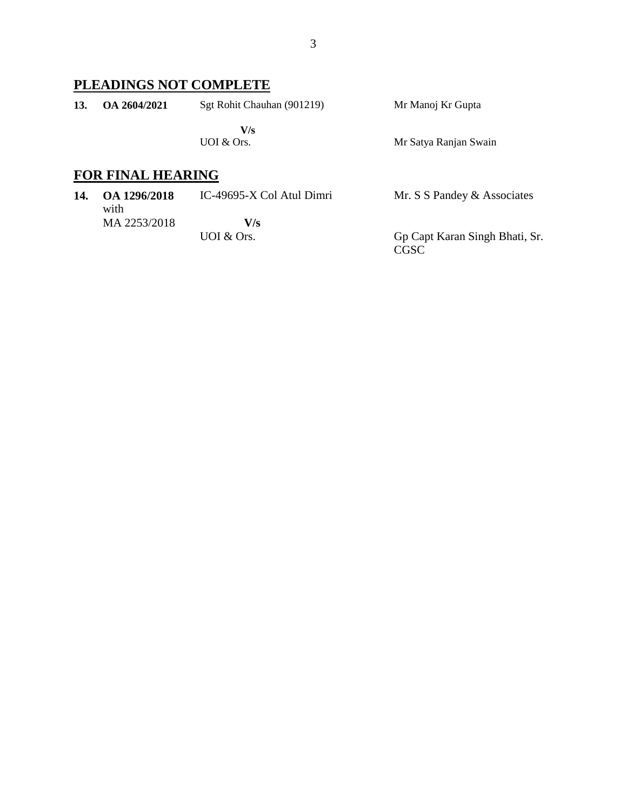### **PLEADINGS NOT COMPLETE**

| 13. | OA 2604/2021 | Sgt Rohit Chauhan (901219) | Mr Manoj Kr Gupta     |
|-----|--------------|----------------------------|-----------------------|
|     |              | V/s<br>UOI $&$ Ors.        | Mr Satya Ranjan Swain |

## **FOR FINAL HEARING**

| 14. | OA 1296/2018<br>with | IC-49695-X Col Atul Dimri | Mr. S S Pandey & Associates            |
|-----|----------------------|---------------------------|----------------------------------------|
|     | MA 2253/2018         | V/s                       |                                        |
|     |                      | UOI $&$ Ors.              | Gp Capt Karan Singh Bhati, Sr.<br>CGSC |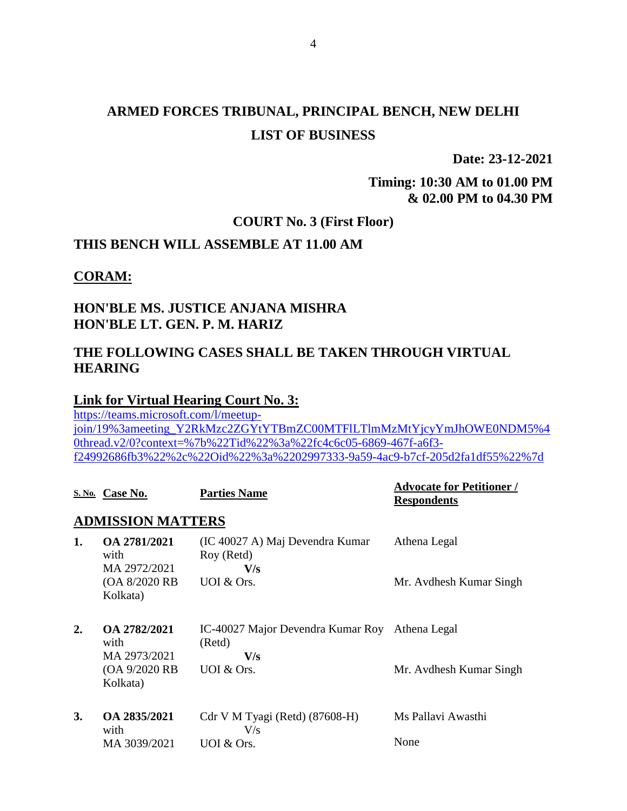# **ARMED FORCES TRIBUNAL, PRINCIPAL BENCH, NEW DELHI LIST OF BUSINESS**

**Date: 23-12-2021**

### **Timing: 10:30 AM to 01.00 PM & 02.00 PM to 04.30 PM**

### **COURT No. 3 (First Floor)**

### **THIS BENCH WILL ASSEMBLE AT 11.00 AM**

**CORAM:**

### **HON'BLE MS. JUSTICE ANJANA MISHRA HON'BLE LT. GEN. P. M. HARIZ**

### **THE FOLLOWING CASES SHALL BE TAKEN THROUGH VIRTUAL HEARING**

### **Link for Virtual Hearing Court No. 3:**

[https://teams.microsoft.com/l/meetup](https://teams.microsoft.com/l/meetup-join/19%3ameeting_Y2RkMzc2ZGYtYTBmZC00MTFlLTlmMzMtYjcyYmJhOWE0NDM5%40thread.v2/0?context=%7b%22Tid%22%3a%22fc4c6c05-6869-467f-a6f3-f24992686fb3%22%2c%22Oid%22%3a%2202997333-9a59-4ac9-b7cf-205d2fa1df55%22%7d)[join/19%3ameeting\\_Y2RkMzc2ZGYtYTBmZC00MTFlLTlmMzMtYjcyYmJhOWE0NDM5%4](https://teams.microsoft.com/l/meetup-join/19%3ameeting_Y2RkMzc2ZGYtYTBmZC00MTFlLTlmMzMtYjcyYmJhOWE0NDM5%40thread.v2/0?context=%7b%22Tid%22%3a%22fc4c6c05-6869-467f-a6f3-f24992686fb3%22%2c%22Oid%22%3a%2202997333-9a59-4ac9-b7cf-205d2fa1df55%22%7d) [0thread.v2/0?context=%7b%22Tid%22%3a%22fc4c6c05-6869-467f-a6f3](https://teams.microsoft.com/l/meetup-join/19%3ameeting_Y2RkMzc2ZGYtYTBmZC00MTFlLTlmMzMtYjcyYmJhOWE0NDM5%40thread.v2/0?context=%7b%22Tid%22%3a%22fc4c6c05-6869-467f-a6f3-f24992686fb3%22%2c%22Oid%22%3a%2202997333-9a59-4ac9-b7cf-205d2fa1df55%22%7d) [f24992686fb3%22%2c%22Oid%22%3a%2202997333-9a59-4ac9-b7cf-205d2fa1df55%22%7d](https://teams.microsoft.com/l/meetup-join/19%3ameeting_Y2RkMzc2ZGYtYTBmZC00MTFlLTlmMzMtYjcyYmJhOWE0NDM5%40thread.v2/0?context=%7b%22Tid%22%3a%22fc4c6c05-6869-467f-a6f3-f24992686fb3%22%2c%22Oid%22%3a%2202997333-9a59-4ac9-b7cf-205d2fa1df55%22%7d)

|                  | S. No. Case No.                           | <b>Parties Name</b>                                  | <b>Advocate for Petitioner /</b><br><b>Respondents</b> |
|------------------|-------------------------------------------|------------------------------------------------------|--------------------------------------------------------|
|                  | <b>ADMISSION MATTERS</b>                  |                                                      |                                                        |
| 1.               | OA 2781/2021<br>with<br>MA 2972/2021      | (IC 40027 A) Maj Devendra Kumar<br>Roy (Retd)<br>V/s | Athena Legal                                           |
|                  | (OA 8/2020 RB)<br>Kolkata)                | UOI & Ors.                                           | Mr. Avdhesh Kumar Singh                                |
| $\overline{2}$ . | OA 2782/2021<br>with                      | IC-40027 Major Devendra Kumar Roy<br>(Retd)          | Athena Legal                                           |
|                  | MA 2973/2021<br>(OA 9/2020 RB<br>Kolkata) | V/s<br>UOI & Ors.                                    | Mr. Avdhesh Kumar Singh                                |
| 3.               | OA 2835/2021<br>with                      | Cdr V M Tyagi (Retd) (87608-H)<br>V/s                | Ms Pallavi Awasthi                                     |
|                  | MA 3039/2021                              | UOI & Ors.                                           | None                                                   |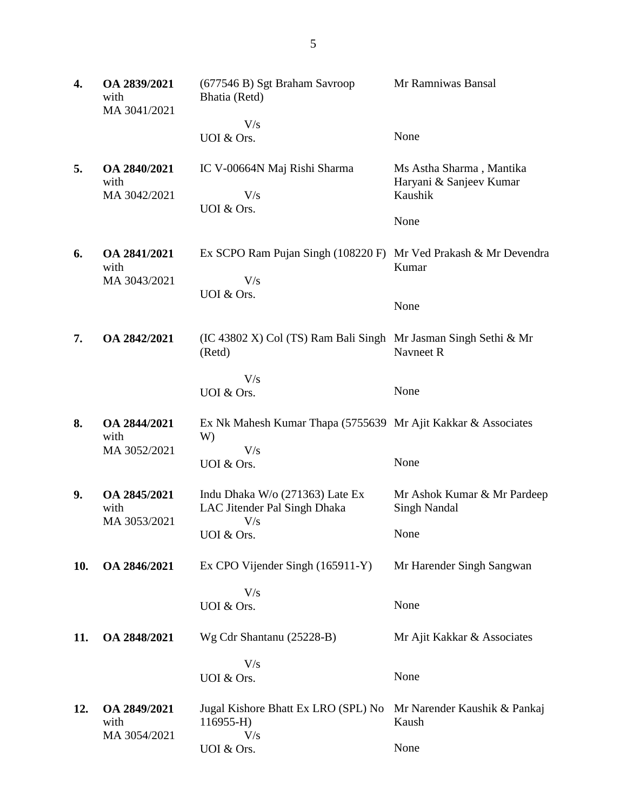| 4.  | OA 2839/2021<br>with<br>MA 3041/2021 | (677546 B) Sgt Braham Savroop<br>Bhatia (Retd)                                           | Mr Ramniwas Bansal                                                     |
|-----|--------------------------------------|------------------------------------------------------------------------------------------|------------------------------------------------------------------------|
|     |                                      | V/s<br>UOI & Ors.                                                                        | None                                                                   |
| 5.  | OA 2840/2021<br>with<br>MA 3042/2021 | IC V-00664N Maj Rishi Sharma<br>V/s<br>UOI & Ors.                                        | Ms Astha Sharma, Mantika<br>Haryani & Sanjeev Kumar<br>Kaushik<br>None |
| 6.  | OA 2841/2021<br>with<br>MA 3043/2021 | Ex SCPO Ram Pujan Singh (108220 F) Mr Ved Prakash & Mr Devendra<br>V/s<br>UOI & Ors.     | Kumar<br>None                                                          |
| 7.  | OA 2842/2021                         | (IC 43802 X) Col (TS) Ram Bali Singh Mr Jasman Singh Sethi & Mr<br>(Retd)                | Navneet R                                                              |
|     |                                      | V/s<br>UOI & Ors.                                                                        | None                                                                   |
| 8.  | OA 2844/2021<br>with<br>MA 3052/2021 | Ex Nk Mahesh Kumar Thapa (5755639 Mr Ajit Kakkar & Associates<br>W)<br>V/s<br>UOI & Ors. | None                                                                   |
| 9.  | OA 2845/2021<br>with<br>MA 3053/2021 | Indu Dhaka W/o (271363) Late Ex<br>LAC Jitender Pal Singh Dhaka<br>V/s<br>UOI & Ors.     | Mr Ashok Kumar & Mr Pardeep<br><b>Singh Nandal</b><br>None             |
| 10. | OA 2846/2021                         | Ex CPO Vijender Singh (165911-Y)                                                         | Mr Harender Singh Sangwan                                              |
|     |                                      | V/s<br>UOI & Ors.                                                                        | None                                                                   |
| 11. | OA 2848/2021                         | Wg Cdr Shantanu (25228-B)                                                                | Mr Ajit Kakkar & Associates                                            |
|     |                                      | V/s<br>UOI & Ors.                                                                        | None                                                                   |
| 12. | OA 2849/2021<br>with<br>MA 3054/2021 | Jugal Kishore Bhatt Ex LRO (SPL) No<br>$116955 - H$<br>V/s<br>UOI & Ors.                 | Mr Narender Kaushik & Pankaj<br>Kaush<br>None                          |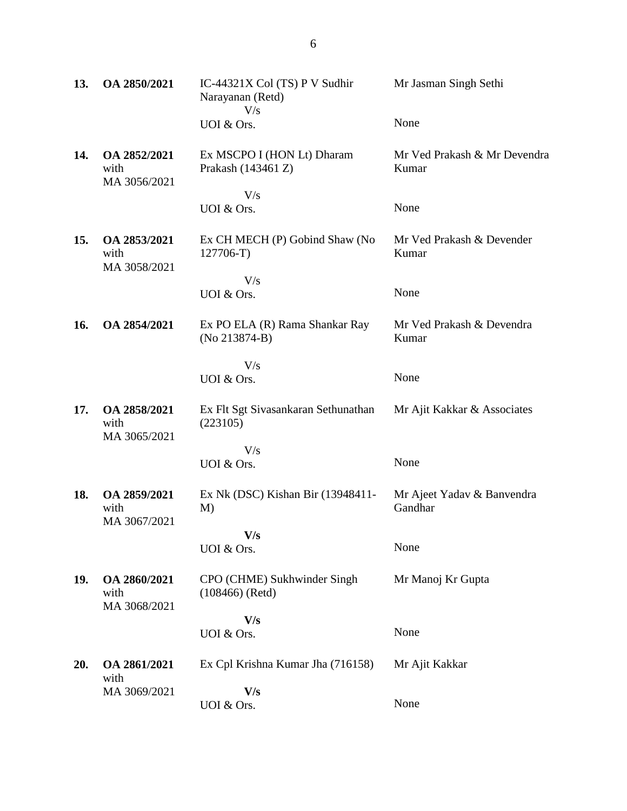| 13. | OA 2850/2021                         | IC-44321X Col (TS) P V Sudhir<br>Narayanan (Retd)<br>V/s | Mr Jasman Singh Sethi                 |
|-----|--------------------------------------|----------------------------------------------------------|---------------------------------------|
|     |                                      | UOI & Ors.                                               | None                                  |
| 14. | OA 2852/2021<br>with<br>MA 3056/2021 | Ex MSCPO I (HON Lt) Dharam<br>Prakash (143461 Z)<br>V/s  | Mr Ved Prakash & Mr Devendra<br>Kumar |
|     |                                      | UOI & Ors.                                               | None                                  |
| 15. | OA 2853/2021<br>with<br>MA 3058/2021 | Ex CH MECH (P) Gobind Shaw (No<br>$127706-T$             | Mr Ved Prakash & Devender<br>Kumar    |
|     |                                      | V/s<br>UOI & Ors.                                        | None                                  |
| 16. | OA 2854/2021                         | Ex PO ELA (R) Rama Shankar Ray<br>$(No 213874-B)$        | Mr Ved Prakash & Devendra<br>Kumar    |
|     |                                      | V/s<br>UOI & Ors.                                        | None                                  |
| 17. | OA 2858/2021<br>with<br>MA 3065/2021 | Ex Flt Sgt Sivasankaran Sethunathan<br>(223105)          | Mr Ajit Kakkar & Associates           |
|     |                                      | V/s<br>UOI & Ors.                                        | None                                  |
| 18. | OA 2859/2021<br>with<br>MA 3067/2021 | Ex Nk (DSC) Kishan Bir (13948411-<br>M)                  | Mr Ajeet Yadav & Banvendra<br>Gandhar |
|     |                                      | V/s<br>UOI & Ors.                                        | None                                  |
| 19. | OA 2860/2021<br>with<br>MA 3068/2021 | CPO (CHME) Sukhwinder Singh<br>$(108466)$ (Retd)         | Mr Manoj Kr Gupta                     |
|     |                                      | V/s                                                      |                                       |
|     |                                      | UOI & Ors.                                               | None                                  |
| 20. | OA 2861/2021<br>with                 | Ex Cpl Krishna Kumar Jha (716158)                        | Mr Ajit Kakkar                        |
|     | MA 3069/2021                         | V/s<br>UOI & Ors.                                        | None                                  |